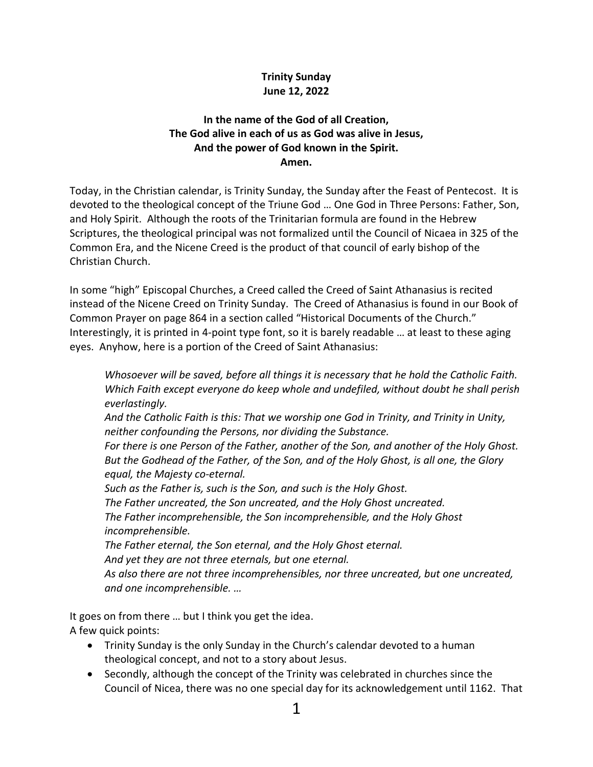## **Trinity Sunday June 12, 2022**

## **In the name of the God of all Creation, The God alive in each of us as God was alive in Jesus, And the power of God known in the Spirit. Amen.**

Today, in the Christian calendar, is Trinity Sunday, the Sunday after the Feast of Pentecost. It is devoted to the theological concept of the Triune God … One God in Three Persons: Father, Son, and Holy Spirit. Although the roots of the Trinitarian formula are found in the Hebrew Scriptures, the theological principal was not formalized until the Council of Nicaea in 325 of the Common Era, and the Nicene Creed is the product of that council of early bishop of the Christian Church.

In some "high" Episcopal Churches, a Creed called the Creed of Saint Athanasius is recited instead of the Nicene Creed on Trinity Sunday. The Creed of Athanasius is found in our Book of Common Prayer on page 864 in a section called "Historical Documents of the Church." Interestingly, it is printed in 4-point type font, so it is barely readable … at least to these aging eyes. Anyhow, here is a portion of the Creed of Saint Athanasius:

*Whosoever will be saved, before all things it is necessary that he hold the Catholic Faith. Which Faith except everyone do keep whole and undefiled, without doubt he shall perish everlastingly.*

*And the Catholic Faith is this: That we worship one God in Trinity, and Trinity in Unity, neither confounding the Persons, nor dividing the Substance.*

*For there is one Person of the Father, another of the Son, and another of the Holy Ghost. But the Godhead of the Father, of the Son, and of the Holy Ghost, is all one, the Glory equal, the Majesty co-eternal.*

*Such as the Father is, such is the Son, and such is the Holy Ghost.*

*The Father uncreated, the Son uncreated, and the Holy Ghost uncreated.*

*The Father incomprehensible, the Son incomprehensible, and the Holy Ghost incomprehensible.*

*The Father eternal, the Son eternal, and the Holy Ghost eternal.*

*And yet they are not three eternals, but one eternal.*

*As also there are not three incomprehensibles, nor three uncreated, but one uncreated, and one incomprehensible. …*

It goes on from there … but I think you get the idea.

A few quick points:

- Trinity Sunday is the only Sunday in the Church's calendar devoted to a human theological concept, and not to a story about Jesus.
- Secondly, although the concept of the Trinity was celebrated in churches since the Council of Nicea, there was no one special day for its acknowledgement until 1162. That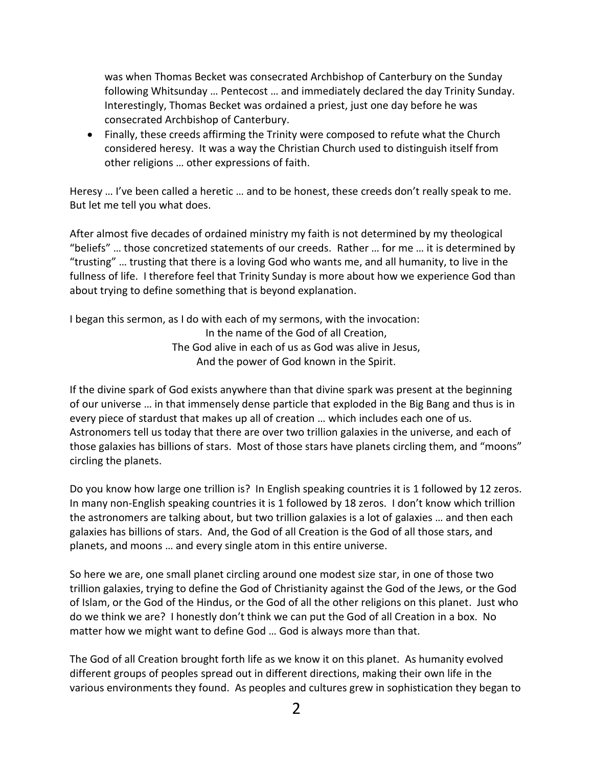was when Thomas Becket was consecrated Archbishop of Canterbury on the Sunday following Whitsunday … Pentecost … and immediately declared the day Trinity Sunday. Interestingly, Thomas Becket was ordained a priest, just one day before he was consecrated Archbishop of Canterbury.

 Finally, these creeds affirming the Trinity were composed to refute what the Church considered heresy. It was a way the Christian Church used to distinguish itself from other religions … other expressions of faith.

Heresy … I've been called a heretic … and to be honest, these creeds don't really speak to me. But let me tell you what does.

After almost five decades of ordained ministry my faith is not determined by my theological "beliefs" … those concretized statements of our creeds. Rather … for me … it is determined by "trusting" … trusting that there is a loving God who wants me, and all humanity, to live in the fullness of life. I therefore feel that Trinity Sunday is more about how we experience God than about trying to define something that is beyond explanation.

I began this sermon, as I do with each of my sermons, with the invocation: In the name of the God of all Creation, The God alive in each of us as God was alive in Jesus, And the power of God known in the Spirit.

If the divine spark of God exists anywhere than that divine spark was present at the beginning of our universe … in that immensely dense particle that exploded in the Big Bang and thus is in every piece of stardust that makes up all of creation … which includes each one of us. Astronomers tell us today that there are over two trillion galaxies in the universe, and each of those galaxies has billions of stars. Most of those stars have planets circling them, and "moons" circling the planets.

Do you know how large one trillion is? In English speaking countries it is 1 followed by 12 zeros. In many non-English speaking countries it is 1 followed by 18 zeros. I don't know which trillion the astronomers are talking about, but two trillion galaxies is a lot of galaxies … and then each galaxies has billions of stars. And, the God of all Creation is the God of all those stars, and planets, and moons … and every single atom in this entire universe.

So here we are, one small planet circling around one modest size star, in one of those two trillion galaxies, trying to define the God of Christianity against the God of the Jews, or the God of Islam, or the God of the Hindus, or the God of all the other religions on this planet. Just who do we think we are? I honestly don't think we can put the God of all Creation in a box. No matter how we might want to define God … God is always more than that.

The God of all Creation brought forth life as we know it on this planet. As humanity evolved different groups of peoples spread out in different directions, making their own life in the various environments they found. As peoples and cultures grew in sophistication they began to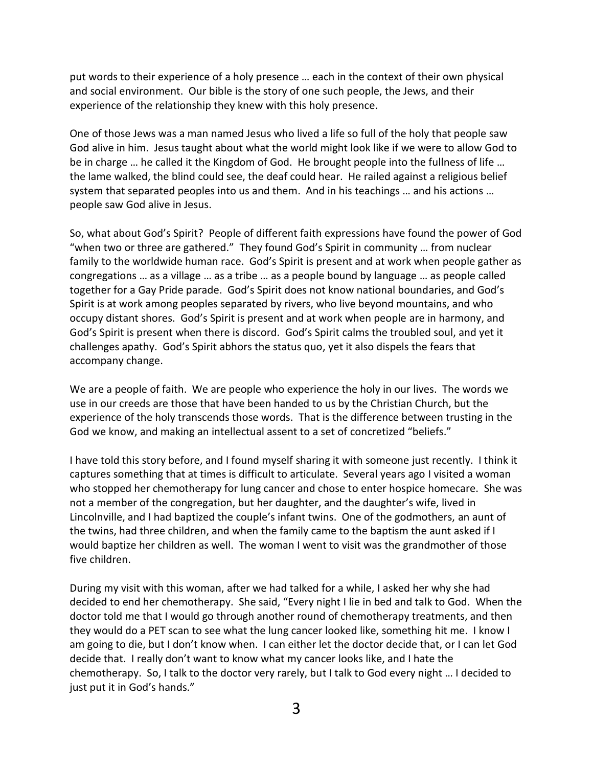put words to their experience of a holy presence … each in the context of their own physical and social environment. Our bible is the story of one such people, the Jews, and their experience of the relationship they knew with this holy presence.

One of those Jews was a man named Jesus who lived a life so full of the holy that people saw God alive in him. Jesus taught about what the world might look like if we were to allow God to be in charge … he called it the Kingdom of God. He brought people into the fullness of life … the lame walked, the blind could see, the deaf could hear. He railed against a religious belief system that separated peoples into us and them. And in his teachings … and his actions … people saw God alive in Jesus.

So, what about God's Spirit? People of different faith expressions have found the power of God "when two or three are gathered." They found God's Spirit in community … from nuclear family to the worldwide human race. God's Spirit is present and at work when people gather as congregations … as a village … as a tribe … as a people bound by language … as people called together for a Gay Pride parade. God's Spirit does not know national boundaries, and God's Spirit is at work among peoples separated by rivers, who live beyond mountains, and who occupy distant shores. God's Spirit is present and at work when people are in harmony, and God's Spirit is present when there is discord. God's Spirit calms the troubled soul, and yet it challenges apathy. God's Spirit abhors the status quo, yet it also dispels the fears that accompany change.

We are a people of faith. We are people who experience the holy in our lives. The words we use in our creeds are those that have been handed to us by the Christian Church, but the experience of the holy transcends those words. That is the difference between trusting in the God we know, and making an intellectual assent to a set of concretized "beliefs."

I have told this story before, and I found myself sharing it with someone just recently. I think it captures something that at times is difficult to articulate. Several years ago I visited a woman who stopped her chemotherapy for lung cancer and chose to enter hospice homecare. She was not a member of the congregation, but her daughter, and the daughter's wife, lived in Lincolnville, and I had baptized the couple's infant twins. One of the godmothers, an aunt of the twins, had three children, and when the family came to the baptism the aunt asked if I would baptize her children as well. The woman I went to visit was the grandmother of those five children.

During my visit with this woman, after we had talked for a while, I asked her why she had decided to end her chemotherapy. She said, "Every night I lie in bed and talk to God. When the doctor told me that I would go through another round of chemotherapy treatments, and then they would do a PET scan to see what the lung cancer looked like, something hit me. I know I am going to die, but I don't know when. I can either let the doctor decide that, or I can let God decide that. I really don't want to know what my cancer looks like, and I hate the chemotherapy. So, I talk to the doctor very rarely, but I talk to God every night … I decided to just put it in God's hands."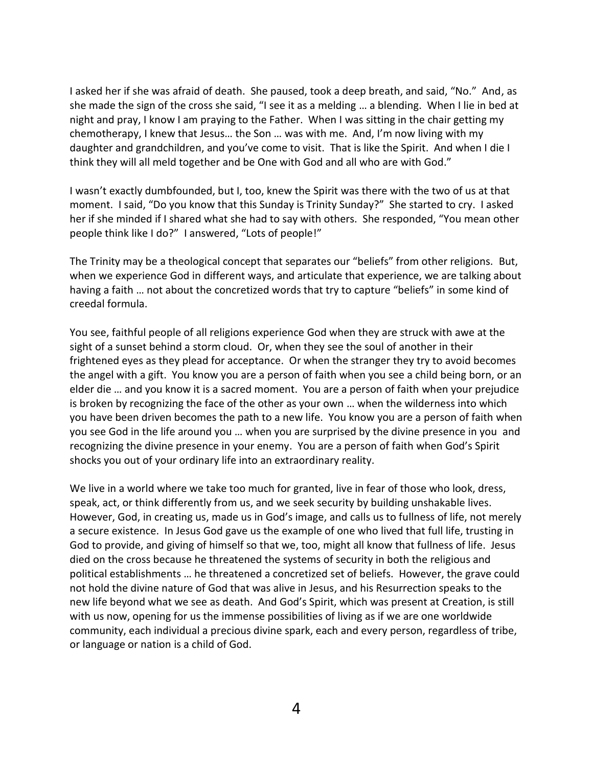I asked her if she was afraid of death. She paused, took a deep breath, and said, "No." And, as she made the sign of the cross she said, "I see it as a melding … a blending. When I lie in bed at night and pray, I know I am praying to the Father. When I was sitting in the chair getting my chemotherapy, I knew that Jesus… the Son … was with me. And, I'm now living with my daughter and grandchildren, and you've come to visit. That is like the Spirit. And when I die I think they will all meld together and be One with God and all who are with God."

I wasn't exactly dumbfounded, but I, too, knew the Spirit was there with the two of us at that moment. I said, "Do you know that this Sunday is Trinity Sunday?" She started to cry. I asked her if she minded if I shared what she had to say with others. She responded, "You mean other people think like I do?" I answered, "Lots of people!"

The Trinity may be a theological concept that separates our "beliefs" from other religions. But, when we experience God in different ways, and articulate that experience, we are talking about having a faith ... not about the concretized words that try to capture "beliefs" in some kind of creedal formula.

You see, faithful people of all religions experience God when they are struck with awe at the sight of a sunset behind a storm cloud. Or, when they see the soul of another in their frightened eyes as they plead for acceptance. Or when the stranger they try to avoid becomes the angel with a gift. You know you are a person of faith when you see a child being born, or an elder die … and you know it is a sacred moment. You are a person of faith when your prejudice is broken by recognizing the face of the other as your own … when the wilderness into which you have been driven becomes the path to a new life. You know you are a person of faith when you see God in the life around you … when you are surprised by the divine presence in you and recognizing the divine presence in your enemy. You are a person of faith when God's Spirit shocks you out of your ordinary life into an extraordinary reality.

We live in a world where we take too much for granted, live in fear of those who look, dress, speak, act, or think differently from us, and we seek security by building unshakable lives. However, God, in creating us, made us in God's image, and calls us to fullness of life, not merely a secure existence. In Jesus God gave us the example of one who lived that full life, trusting in God to provide, and giving of himself so that we, too, might all know that fullness of life. Jesus died on the cross because he threatened the systems of security in both the religious and political establishments … he threatened a concretized set of beliefs. However, the grave could not hold the divine nature of God that was alive in Jesus, and his Resurrection speaks to the new life beyond what we see as death. And God's Spirit, which was present at Creation, is still with us now, opening for us the immense possibilities of living as if we are one worldwide community, each individual a precious divine spark, each and every person, regardless of tribe, or language or nation is a child of God.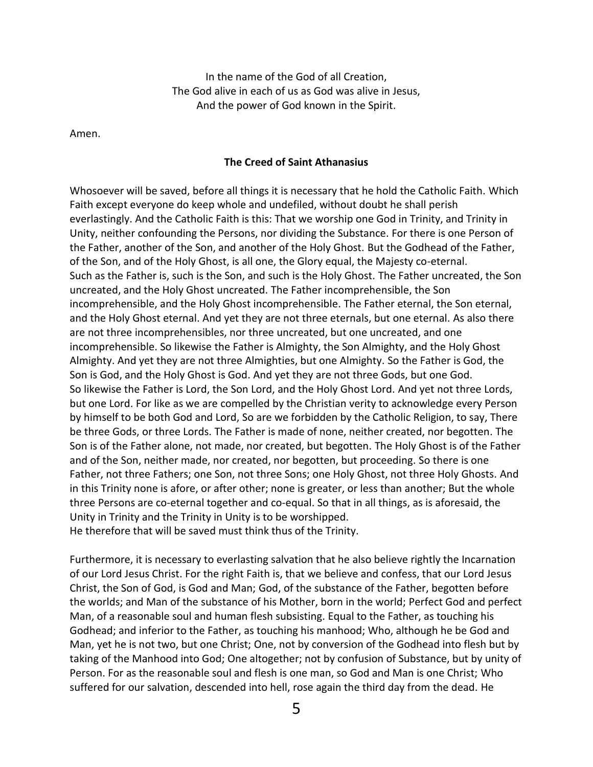In the name of the God of all Creation, The God alive in each of us as God was alive in Jesus, And the power of God known in the Spirit.

Amen.

## **The Creed of Saint Athanasius**

Whosoever will be saved, before all things it is necessary that he hold the Catholic Faith. Which Faith except everyone do keep whole and undefiled, without doubt he shall perish everlastingly. And the Catholic Faith is this: That we worship one God in Trinity, and Trinity in Unity, neither confounding the Persons, nor dividing the Substance. For there is one Person of the Father, another of the Son, and another of the Holy Ghost. But the Godhead of the Father, of the Son, and of the Holy Ghost, is all one, the Glory equal, the Majesty co-eternal. Such as the Father is, such is the Son, and such is the Holy Ghost. The Father uncreated, the Son uncreated, and the Holy Ghost uncreated. The Father incomprehensible, the Son incomprehensible, and the Holy Ghost incomprehensible. The Father eternal, the Son eternal, and the Holy Ghost eternal. And yet they are not three eternals, but one eternal. As also there are not three incomprehensibles, nor three uncreated, but one uncreated, and one incomprehensible. So likewise the Father is Almighty, the Son Almighty, and the Holy Ghost Almighty. And yet they are not three Almighties, but one Almighty. So the Father is God, the Son is God, and the Holy Ghost is God. And yet they are not three Gods, but one God. So likewise the Father is Lord, the Son Lord, and the Holy Ghost Lord. And yet not three Lords, but one Lord. For like as we are compelled by the Christian verity to acknowledge every Person by himself to be both God and Lord, So are we forbidden by the Catholic Religion, to say, There be three Gods, or three Lords. The Father is made of none, neither created, nor begotten. The Son is of the Father alone, not made, nor created, but begotten. The Holy Ghost is of the Father and of the Son, neither made, nor created, nor begotten, but proceeding. So there is one Father, not three Fathers; one Son, not three Sons; one Holy Ghost, not three Holy Ghosts. And in this Trinity none is afore, or after other; none is greater, or less than another; But the whole three Persons are co-eternal together and co-equal. So that in all things, as is aforesaid, the Unity in Trinity and the Trinity in Unity is to be worshipped. He therefore that will be saved must think thus of the Trinity.

Furthermore, it is necessary to everlasting salvation that he also believe rightly the Incarnation of our Lord Jesus Christ. For the right Faith is, that we believe and confess, that our Lord Jesus Christ, the Son of God, is God and Man; God, of the substance of the Father, begotten before the worlds; and Man of the substance of his Mother, born in the world; Perfect God and perfect Man, of a reasonable soul and human flesh subsisting. Equal to the Father, as touching his Godhead; and inferior to the Father, as touching his manhood; Who, although he be God and Man, yet he is not two, but one Christ; One, not by conversion of the Godhead into flesh but by taking of the Manhood into God; One altogether; not by confusion of Substance, but by unity of Person. For as the reasonable soul and flesh is one man, so God and Man is one Christ; Who suffered for our salvation, descended into hell, rose again the third day from the dead. He